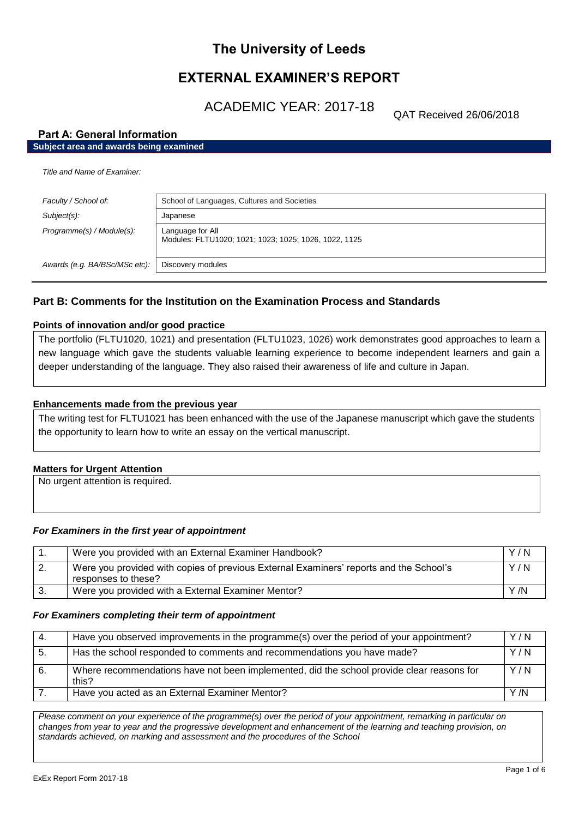# **The University of Leeds**

# **EXTERNAL EXAMINER'S REPORT**

ACADEMIC YEAR: 2017-18

QAT Received 26/06/2018

# **Part A: General Information**

| Subject area and awards being examined |                                                                           |
|----------------------------------------|---------------------------------------------------------------------------|
| Title and Name of Examiner:            |                                                                           |
| Faculty / School of:                   | School of Languages, Cultures and Societies                               |
| Subject(s):                            | Japanese                                                                  |
| Programme(s) / Module(s):              | Language for All<br>Modules: FLTU1020; 1021; 1023; 1025; 1026, 1022, 1125 |
| Awards (e.g. BA/BSc/MSc etc):          | Discovery modules                                                         |
|                                        |                                                                           |

# **Part B: Comments for the Institution on the Examination Process and Standards**

## **Points of innovation and/or good practice**

The portfolio (FLTU1020, 1021) and presentation (FLTU1023, 1026) work demonstrates good approaches to learn a new language which gave the students valuable learning experience to become independent learners and gain a deeper understanding of the language. They also raised their awareness of life and culture in Japan.

## **Enhancements made from the previous year**

The writing test for FLTU1021 has been enhanced with the use of the Japanese manuscript which gave the students the opportunity to learn how to write an essay on the vertical manuscript.

## **Matters for Urgent Attention**

No urgent attention is required.

## *For Examiners in the first year of appointment*

|    | Were you provided with an External Examiner Handbook?                                                         | Y/N |
|----|---------------------------------------------------------------------------------------------------------------|-----|
| 2. | Were you provided with copies of previous External Examiners' reports and the School's<br>responses to these? | Y/N |
|    | Were you provided with a External Examiner Mentor?                                                            | Y/N |

## *For Examiners completing their term of appointment*

| -4. | Have you observed improvements in the programme(s) over the period of your appointment?            | Y/N  |
|-----|----------------------------------------------------------------------------------------------------|------|
| -5. | Has the school responded to comments and recommendations you have made?                            | Y/N  |
| 6.  | Where recommendations have not been implemented, did the school provide clear reasons for<br>this? | Y/N  |
|     | Have you acted as an External Examiner Mentor?                                                     | Y /N |

*Please comment on your experience of the programme(s) over the period of your appointment, remarking in particular on changes from year to year and the progressive development and enhancement of the learning and teaching provision, on standards achieved, on marking and assessment and the procedures of the School*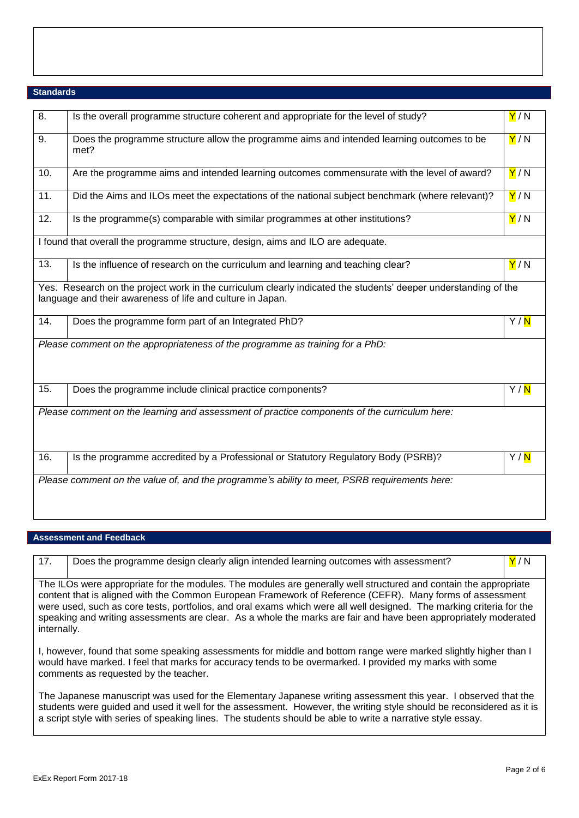# **Standards**

| 8.  | Is the overall programme structure coherent and appropriate for the level of study?                                                                                           | Y/N               |
|-----|-------------------------------------------------------------------------------------------------------------------------------------------------------------------------------|-------------------|
| 9.  | Does the programme structure allow the programme aims and intended learning outcomes to be<br>met?                                                                            | Y/N               |
| 10. | Are the programme aims and intended learning outcomes commensurate with the level of award?                                                                                   | Y/N               |
| 11. | Did the Aims and ILOs meet the expectations of the national subject benchmark (where relevant)?                                                                               | Y/N               |
| 12. | Is the programme(s) comparable with similar programmes at other institutions?                                                                                                 | Y/N               |
|     | I found that overall the programme structure, design, aims and ILO are adequate.                                                                                              |                   |
| 13. | Is the influence of research on the curriculum and learning and teaching clear?                                                                                               | Y/N               |
|     | Yes. Research on the project work in the curriculum clearly indicated the students' deeper understanding of the<br>language and their awareness of life and culture in Japan. |                   |
| 14. | Does the programme form part of an Integrated PhD?                                                                                                                            | Y/ <mark>N</mark> |
|     | Please comment on the appropriateness of the programme as training for a PhD:                                                                                                 |                   |
| 15. | Does the programme include clinical practice components?                                                                                                                      | Y/ <mark>N</mark> |
|     | Please comment on the learning and assessment of practice components of the curriculum here:                                                                                  |                   |
| 16. | Is the programme accredited by a Professional or Statutory Regulatory Body (PSRB)?                                                                                            | Y/ <mark>N</mark> |
|     | Please comment on the value of, and the programme's ability to meet, PSRB requirements here:                                                                                  |                   |
|     |                                                                                                                                                                               |                   |

## **Assessment and Feedback**

| 17.                                                                                                                                                                                                                                                                                                                                                                                                                                                                                    | Does the programme design clearly align intended learning outcomes with assessment? | Y/N |
|----------------------------------------------------------------------------------------------------------------------------------------------------------------------------------------------------------------------------------------------------------------------------------------------------------------------------------------------------------------------------------------------------------------------------------------------------------------------------------------|-------------------------------------------------------------------------------------|-----|
| The ILOs were appropriate for the modules. The modules are generally well structured and contain the appropriate<br>content that is aligned with the Common European Framework of Reference (CEFR). Many forms of assessment<br>were used, such as core tests, portfolios, and oral exams which were all well designed. The marking criteria for the<br>speaking and writing assessments are clear. As a whole the marks are fair and have been appropriately moderated<br>internally. |                                                                                     |     |
| I, however, found that some speaking assessments for middle and bottom range were marked slightly higher than I<br>would have marked. I feel that marks for accuracy tends to be overmarked. I provided my marks with some<br>comments as requested by the teacher.                                                                                                                                                                                                                    |                                                                                     |     |

The Japanese manuscript was used for the Elementary Japanese writing assessment this year. I observed that the students were guided and used it well for the assessment. However, the writing style should be reconsidered as it is a script style with series of speaking lines. The students should be able to write a narrative style essay.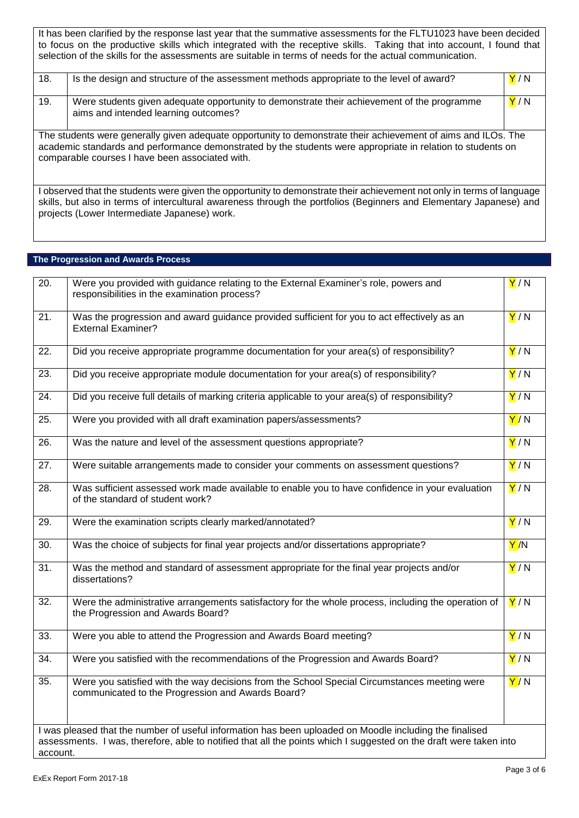It has been clarified by the response last year that the summative assessments for the FLTU1023 have been decided to focus on the productive skills which integrated with the receptive skills. Taking that into account, I found that selection of the skills for the assessments are suitable in terms of needs for the actual communication.

| 18. | Is the design and structure of the assessment methods appropriate to the level of award?                                                                                                                                                                                        | Y/N |
|-----|---------------------------------------------------------------------------------------------------------------------------------------------------------------------------------------------------------------------------------------------------------------------------------|-----|
| 19. | Were students given adequate opportunity to demonstrate their achievement of the programme<br>aims and intended learning outcomes?                                                                                                                                              | Y/N |
|     | The students were generally given adequate opportunity to demonstrate their achievement of aims and ILOs. The<br>academic standards and performance demonstrated by the students were appropriate in relation to students on<br>comparable courses I have been associated with. |     |

I observed that the students were given the opportunity to demonstrate their achievement not only in terms of language skills, but also in terms of intercultural awareness through the portfolios (Beginners and Elementary Japanese) and projects (Lower Intermediate Japanese) work.

## **The Progression and Awards Process**

| $\overline{20}$ . | Were you provided with guidance relating to the External Examiner's role, powers and<br>responsibilities in the examination process?                                                                                          | Y/N                     |
|-------------------|-------------------------------------------------------------------------------------------------------------------------------------------------------------------------------------------------------------------------------|-------------------------|
| $\overline{21}$ . | Was the progression and award guidance provided sufficient for you to act effectively as an<br><b>External Examiner?</b>                                                                                                      | Y/N                     |
| $\overline{22}$ . | Did you receive appropriate programme documentation for your area(s) of responsibility?                                                                                                                                       | Y/N                     |
| 23.               | Did you receive appropriate module documentation for your area(s) of responsibility?                                                                                                                                          | Y/N                     |
| $\overline{24}$ . | Did you receive full details of marking criteria applicable to your area(s) of responsibility?                                                                                                                                | Y/N                     |
| 25.               | Were you provided with all draft examination papers/assessments?                                                                                                                                                              | Y/N                     |
| 26.               | Was the nature and level of the assessment questions appropriate?                                                                                                                                                             | Y/N                     |
| $\overline{27}$ . | Were suitable arrangements made to consider your comments on assessment questions?                                                                                                                                            | Y/N                     |
| 28.               | Was sufficient assessed work made available to enable you to have confidence in your evaluation<br>of the standard of student work?                                                                                           | Y/N                     |
| 29.               | Were the examination scripts clearly marked/annotated?                                                                                                                                                                        | Y/N                     |
| $\overline{30}$ . | Was the choice of subjects for final year projects and/or dissertations appropriate?                                                                                                                                          | $\mathsf{Y}/\mathsf{N}$ |
| $\overline{31}$ . | Was the method and standard of assessment appropriate for the final year projects and/or<br>dissertations?                                                                                                                    | Y/N                     |
| $\overline{32}$ . | Were the administrative arrangements satisfactory for the whole process, including the operation of<br>the Progression and Awards Board?                                                                                      | Y/N                     |
| 33.               | Were you able to attend the Progression and Awards Board meeting?                                                                                                                                                             | Y/N                     |
| $\overline{34}$ . | Were you satisfied with the recommendations of the Progression and Awards Board?                                                                                                                                              | Y/N                     |
| $\overline{35}$ . | Were you satisfied with the way decisions from the School Special Circumstances meeting were<br>communicated to the Progression and Awards Board?                                                                             | Y/N                     |
| account.          | I was pleased that the number of useful information has been uploaded on Moodle including the finalised<br>assessments. I was, therefore, able to notified that all the points which I suggested on the draft were taken into |                         |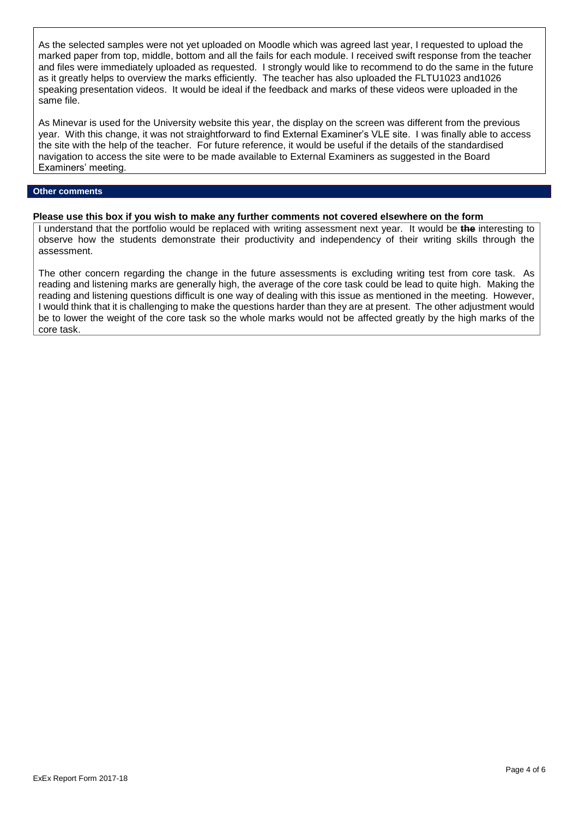As the selected samples were not yet uploaded on Moodle which was agreed last year, I requested to upload the marked paper from top, middle, bottom and all the fails for each module. I received swift response from the teacher and files were immediately uploaded as requested. I strongly would like to recommend to do the same in the future as it greatly helps to overview the marks efficiently. The teacher has also uploaded the FLTU1023 and1026 speaking presentation videos. It would be ideal if the feedback and marks of these videos were uploaded in the same file.

As Minevar is used for the University website this year, the display on the screen was different from the previous year. With this change, it was not straightforward to find External Examiner's VLE site. I was finally able to access the site with the help of the teacher. For future reference, it would be useful if the details of the standardised navigation to access the site were to be made available to External Examiners as suggested in the Board Examiners' meeting.

#### **Other comments**

## **Please use this box if you wish to make any further comments not covered elsewhere on the form**

I understand that the portfolio would be replaced with writing assessment next year. It would be **the** interesting to observe how the students demonstrate their productivity and independency of their writing skills through the assessment.

The other concern regarding the change in the future assessments is excluding writing test from core task. As reading and listening marks are generally high, the average of the core task could be lead to quite high. Making the reading and listening questions difficult is one way of dealing with this issue as mentioned in the meeting. However, I would think that it is challenging to make the questions harder than they are at present. The other adjustment would be to lower the weight of the core task so the whole marks would not be affected greatly by the high marks of the core task.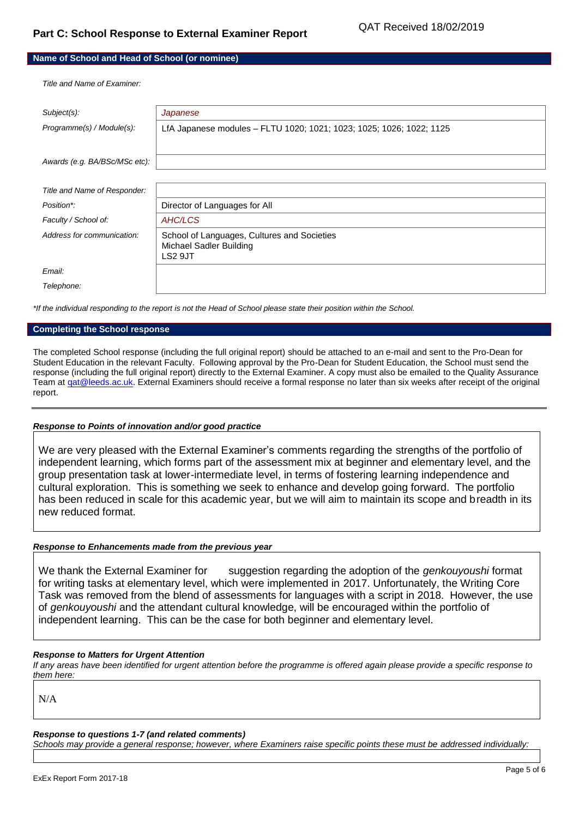# **Name of School and Head of School (or nominee)**

*Title and Name of Examiner:*

| Subject(s):                   | Japanese                                                                          |
|-------------------------------|-----------------------------------------------------------------------------------|
| Programme(s) / Module(s):     | LfA Japanese modules - FLTU 1020; 1021; 1023; 1025; 1026; 1022; 1125              |
| Awards (e.g. BA/BSc/MSc etc): |                                                                                   |
|                               |                                                                                   |
| Title and Name of Responder:  |                                                                                   |
| Position*:                    | Director of Languages for All                                                     |
| Faculty / School of:          | AHC/LCS                                                                           |
| Address for communication:    | School of Languages, Cultures and Societies<br>Michael Sadler Building<br>LS2 9JT |
| Email:                        |                                                                                   |
| Telephone:                    |                                                                                   |

*\*If the individual responding to the report is not the Head of School please state their position within the School.*

#### **Completing the School response**

The completed School response (including the full original report) should be attached to an e-mail and sent to the Pro-Dean for Student Education in the relevant Faculty. Following approval by the Pro-Dean for Student Education, the School must send the response (including the full original report) directly to the External Examiner. A copy must also be emailed to the Quality Assurance Team at gat@leeds.ac.uk. External Examiners should receive a formal response no later than six weeks after receipt of the original report.

## *Response to Points of innovation and/or good practice*

We are very pleased with the External Examiner's comments regarding the strengths of the portfolio of independent learning, which forms part of the assessment mix at beginner and elementary level, and the group presentation task at lower-intermediate level, in terms of fostering learning independence and cultural exploration. This is something we seek to enhance and develop going forward. The portfolio has been reduced in scale for this academic year, but we will aim to maintain its scope and breadth in its new reduced format.

### *Response to Enhancements made from the previous year*

We thank the External Examiner for suggestion regarding the adoption of the *genkouyoushi* format for writing tasks at elementary level, which were implemented in 2017. Unfortunately, the Writing Core Task was removed from the blend of assessments for languages with a script in 2018. However, the use of *genkouyoushi* and the attendant cultural knowledge, will be encouraged within the portfolio of independent learning. This can be the case for both beginner and elementary level.

## *Response to Matters for Urgent Attention*

*If any areas have been identified for urgent attention before the programme is offered again please provide a specific response to them here:*

N/A

## *Response to questions 1-7 (and related comments)*

*Schools may provide a general response; however, where Examiners raise specific points these must be addressed individually:*